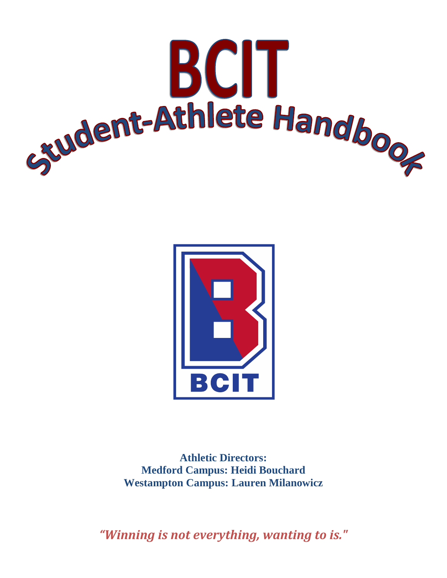



**Athletic Directors: Medford Campus: Heidi Bouchard Westampton Campus: Lauren Milanowicz**

*"Winning is not everything, wanting to is."*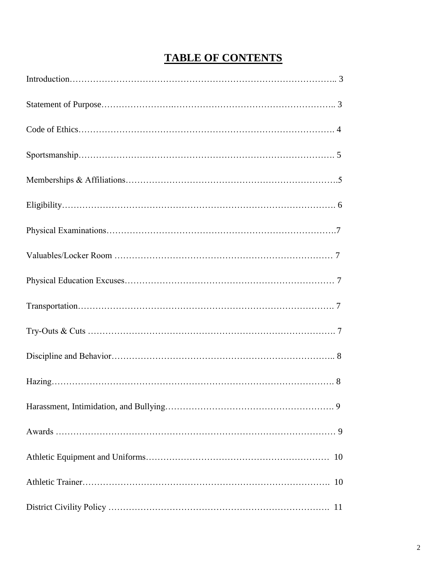# **TABLE OF CONTENTS**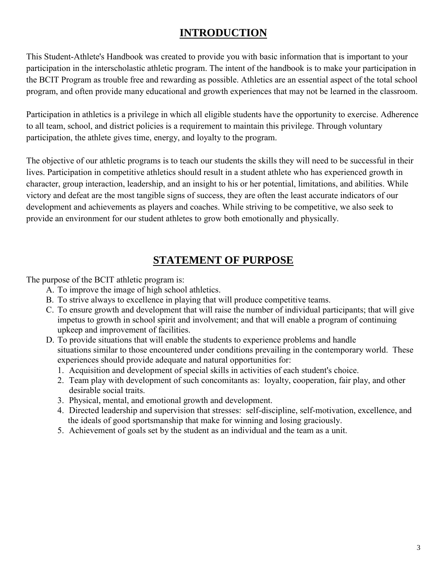# **INTRODUCTION**

This Student-Athlete's Handbook was created to provide you with basic information that is important to your participation in the interscholastic athletic program. The intent of the handbook is to make your participation in the BCIT Program as trouble free and rewarding as possible. Athletics are an essential aspect of the total school program, and often provide many educational and growth experiences that may not be learned in the classroom.

Participation in athletics is a privilege in which all eligible students have the opportunity to exercise. Adherence to all team, school, and district policies is a requirement to maintain this privilege. Through voluntary participation, the athlete gives time, energy, and loyalty to the program.

The objective of our athletic programs is to teach our students the skills they will need to be successful in their lives. Participation in competitive athletics should result in a student athlete who has experienced growth in character, group interaction, leadership, and an insight to his or her potential, limitations, and abilities. While victory and defeat are the most tangible signs of success, they are often the least accurate indicators of our development and achievements as players and coaches. While striving to be competitive, we also seek to provide an environment for our student athletes to grow both emotionally and physically.

# **STATEMENT OF PURPOSE**

The purpose of the BCIT athletic program is:

- A. To improve the image of high school athletics.
- B. To strive always to excellence in playing that will produce competitive teams.
- C. To ensure growth and development that will raise the number of individual participants; that will give impetus to growth in school spirit and involvement; and that will enable a program of continuing upkeep and improvement of facilities.
- D. To provide situations that will enable the students to experience problems and handle situations similar to those encountered under conditions prevailing in the contemporary world. These experiences should provide adequate and natural opportunities for:
	- 1. Acquisition and development of special skills in activities of each student's choice.
	- 2. Team play with development of such concomitants as: loyalty, cooperation, fair play, and other desirable social traits.
	- 3. Physical, mental, and emotional growth and development.
	- 4. Directed leadership and supervision that stresses: self-discipline, self-motivation, excellence, and the ideals of good sportsmanship that make for winning and losing graciously.
	- 5. Achievement of goals set by the student as an individual and the team as a unit.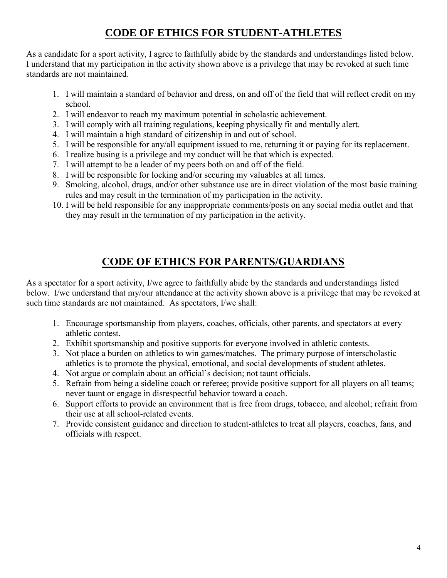# **CODE OF ETHICS FOR STUDENT-ATHLETES**

As a candidate for a sport activity, I agree to faithfully abide by the standards and understandings listed below. I understand that my participation in the activity shown above is a privilege that may be revoked at such time standards are not maintained.

- 1. I will maintain a standard of behavior and dress, on and off of the field that will reflect credit on my school.
- 2. I will endeavor to reach my maximum potential in scholastic achievement.
- 3. I will comply with all training regulations, keeping physically fit and mentally alert.
- 4. I will maintain a high standard of citizenship in and out of school.
- 5. I will be responsible for any/all equipment issued to me, returning it or paying for its replacement.
- 6. I realize busing is a privilege and my conduct will be that which is expected.
- 7. I will attempt to be a leader of my peers both on and off of the field.
- 8. I will be responsible for locking and/or securing my valuables at all times.
- 9. Smoking, alcohol, drugs, and/or other substance use are in direct violation of the most basic training rules and may result in the termination of my participation in the activity.
- 10. I will be held responsible for any inappropriate comments/posts on any social media outlet and that they may result in the termination of my participation in the activity.

# **CODE OF ETHICS FOR PARENTS/GUARDIANS**

As a spectator for a sport activity, I/we agree to faithfully abide by the standards and understandings listed below. I/we understand that my/our attendance at the activity shown above is a privilege that may be revoked at such time standards are not maintained. As spectators, I/we shall:

- 1. Encourage sportsmanship from players, coaches, officials, other parents, and spectators at every athletic contest.
- 2. Exhibit sportsmanship and positive supports for everyone involved in athletic contests.
- 3. Not place a burden on athletics to win games/matches. The primary purpose of interscholastic athletics is to promote the physical, emotional, and social developments of student athletes.
- 4. Not argue or complain about an official's decision; not taunt officials.
- 5. Refrain from being a sideline coach or referee; provide positive support for all players on all teams; never taunt or engage in disrespectful behavior toward a coach.
- 6. Support efforts to provide an environment that is free from drugs, tobacco, and alcohol; refrain from their use at all school-related events.
- 7. Provide consistent guidance and direction to student-athletes to treat all players, coaches, fans, and officials with respect.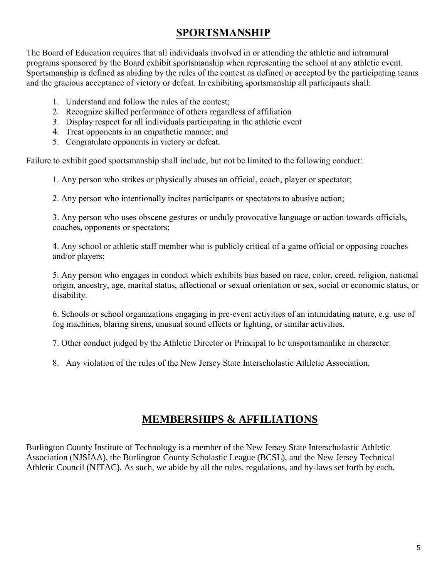# **SPORTSMANSHIP**

The Board of Education requires that all individuals involved in or attending the athletic and intramural programs sponsored by the Board exhibit sportsmanship when representing the school at any athletic event. Sportsmanship is defined as abiding by the rules of the contest as defined or accepted by the participating teams and the gracious acceptance of victory or defeat. In exhibiting sportsmanship all participants shall:

- 1. Understand and follow the rules of the contest;
- 2. Recognize skilled performance of others regardless of affiliation
- 3. Display respect for all individuals participating in the athletic event
- 4. Treat opponents in an empathetic manner; and
- 5. Congratulate opponents in victory or defeat.

Failure to exhibit good sportsmanship shall include, but not be limited to the following conduct:

1. Any person who strikes or physically abuses an official, coach, player or spectator;

2. Any person who intentionally incites participants or spectators to abusive action;

3. Any person who uses obscene gestures or unduly provocative language or action towards officials, coaches, opponents or spectators;

4. Any school or athletic staff member who is publicly critical of a game official or opposing coaches and/or players;

5. Any person who engages in conduct which exhibits bias based on race, color, creed, religion, national origin, ancestry, age, marital status, affectional or sexual orientation or sex, social or economic status, or disability.

6. Schools or school organizations engaging in pre-event activities of an intimidating nature, e.g. use of fog machines, blaring sirens, unusual sound effects or lighting, or similar activities.

7. Other conduct judged by the Athletic Director or Principal to be unsportsmanlike in character.

8. Any violation of the rules of the New Jersey State Interscholastic Athletic Association.

# **MEMBERSHIPS & AFFILIATIONS**

Burlington County Institute of Technology is a member of the New Jersey State Interscholastic Athletic Association (NJSIAA), the Burlington County Scholastic League (BCSL), and the New Jersey Technical Athletic Council (NJTAC). As such, we abide by all the rules, regulations, and by-laws set forth by each.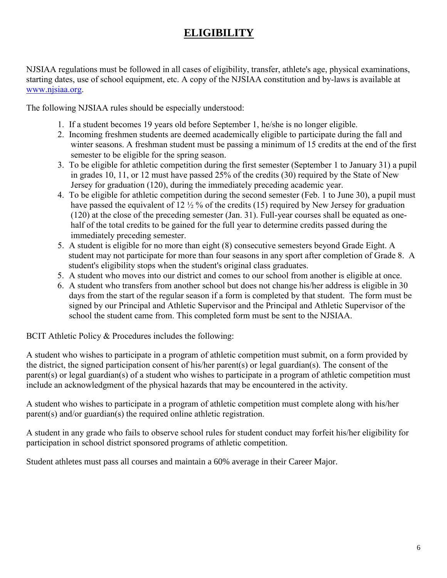# **ELIGIBILITY**

NJSIAA regulations must be followed in all cases of eligibility, transfer, athlete's age, physical examinations, starting dates, use of school equipment, etc. A copy of the NJSIAA constitution and by-laws is available at [www.njsiaa.org.](http://www.njsiaa.org/)

The following NJSIAA rules should be especially understood:

- 1. If a student becomes 19 years old before September 1, he/she is no longer eligible.
- 2. Incoming freshmen students are deemed academically eligible to participate during the fall and winter seasons. A freshman student must be passing a minimum of 15 credits at the end of the first semester to be eligible for the spring season.
- 3. To be eligible for athletic competition during the first semester (September 1 to January 31) a pupil in grades 10, 11, or 12 must have passed 25% of the credits (30) required by the State of New Jersey for graduation (120), during the immediately preceding academic year.
- 4. To be eligible for athletic competition during the second semester (Feb. 1 to June 30), a pupil must have passed the equivalent of 12  $\frac{1}{2}$  % of the credits (15) required by New Jersey for graduation (120) at the close of the preceding semester (Jan. 31). Full-year courses shall be equated as onehalf of the total credits to be gained for the full year to determine credits passed during the immediately preceding semester.
- 5. A student is eligible for no more than eight (8) consecutive semesters beyond Grade Eight. A student may not participate for more than four seasons in any sport after completion of Grade 8. A student's eligibility stops when the student's original class graduates.
- 5. A student who moves into our district and comes to our school from another is eligible at once.
- 6. A student who transfers from another school but does not change his/her address is eligible in 30 days from the start of the regular season if a form is completed by that student. The form must be signed by our Principal and Athletic Supervisor and the Principal and Athletic Supervisor of the school the student came from. This completed form must be sent to the NJSIAA.

BCIT Athletic Policy & Procedures includes the following:

A student who wishes to participate in a program of athletic competition must submit, on a form provided by the district, the signed participation consent of his/her parent(s) or legal guardian(s). The consent of the parent(s) or legal guardian(s) of a student who wishes to participate in a program of athletic competition must include an acknowledgment of the physical hazards that may be encountered in the activity.

A student who wishes to participate in a program of athletic competition must complete along with his/her parent(s) and/or guardian(s) the required online athletic registration.

A student in any grade who fails to observe school rules for student conduct may forfeit his/her eligibility for participation in school district sponsored programs of athletic competition.

Student athletes must pass all courses and maintain a 60% average in their Career Major.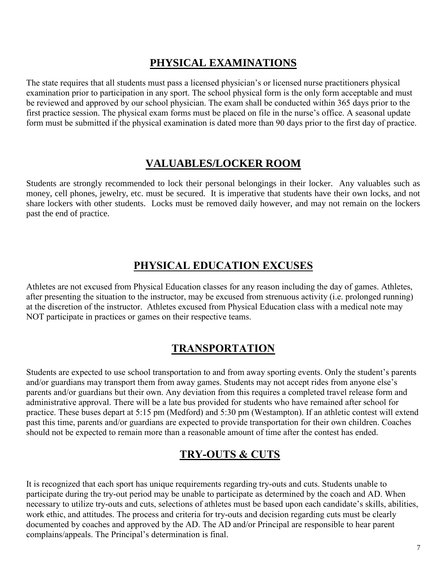# **PHYSICAL EXAMINATIONS**

The state requires that all students must pass a licensed physician's or licensed nurse practitioners physical examination prior to participation in any sport. The school physical form is the only form acceptable and must be reviewed and approved by our school physician. The exam shall be conducted within 365 days prior to the first practice session. The physical exam forms must be placed on file in the nurse's office. A seasonal update form must be submitted if the physical examination is dated more than 90 days prior to the first day of practice.

#### **VALUABLES/LOCKER ROOM**

Students are strongly recommended to lock their personal belongings in their locker. Any valuables such as money, cell phones, jewelry, etc. must be secured. It is imperative that students have their own locks, and not share lockers with other students. Locks must be removed daily however, and may not remain on the lockers past the end of practice.

# **PHYSICAL EDUCATION EXCUSES**

Athletes are not excused from Physical Education classes for any reason including the day of games. Athletes, after presenting the situation to the instructor, may be excused from strenuous activity (i.e. prolonged running) at the discretion of the instructor. Athletes excused from Physical Education class with a medical note may NOT participate in practices or games on their respective teams.

# **TRANSPORTATION**

Students are expected to use school transportation to and from away sporting events. Only the student's parents and/or guardians may transport them from away games. Students may not accept rides from anyone else's parents and/or guardians but their own. Any deviation from this requires a completed travel release form and administrative approval. There will be a late bus provided for students who have remained after school for practice. These buses depart at 5:15 pm (Medford) and 5:30 pm (Westampton). If an athletic contest will extend past this time, parents and/or guardians are expected to provide transportation for their own children. Coaches should not be expected to remain more than a reasonable amount of time after the contest has ended.

### **TRY-OUTS & CUTS**

It is recognized that each sport has unique requirements regarding try-outs and cuts. Students unable to participate during the try-out period may be unable to participate as determined by the coach and AD. When necessary to utilize try-outs and cuts, selections of athletes must be based upon each candidate's skills, abilities, work ethic, and attitudes. The process and criteria for try-outs and decision regarding cuts must be clearly documented by coaches and approved by the AD. The AD and/or Principal are responsible to hear parent complains/appeals. The Principal's determination is final.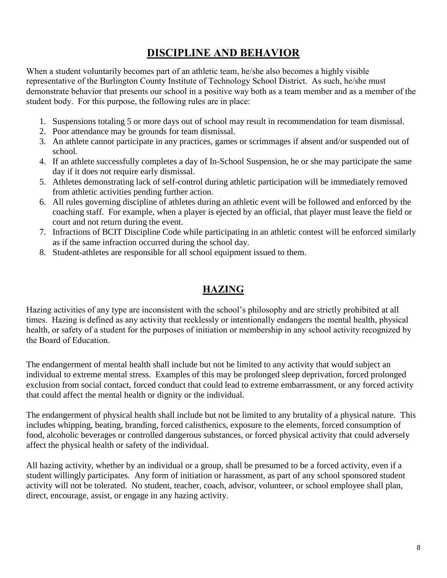# **DISCIPLINE AND BEHAVIOR**

When a student voluntarily becomes part of an athletic team, he/she also becomes a highly visible representative of the Burlington County Institute of Technology School District. As such, he/she must demonstrate behavior that presents our school in a positive way both as a team member and as a member of the student body. For this purpose, the following rules are in place:

- 1. Suspensions totaling 5 or more days out of school may result in recommendation for team dismissal.
- 2. Poor attendance may be grounds for team dismissal.
- 3. An athlete cannot participate in any practices, games or scrimmages if absent and/or suspended out of school.
- 4. If an athlete successfully completes a day of In-School Suspension, he or she may participate the same day if it does not require early dismissal.
- 5. Athletes demonstrating lack of self-control during athletic participation will be immediately removed from athletic activities pending further action.
- 6. All rules governing discipline of athletes during an athletic event will be followed and enforced by the coaching staff. For example, when a player is ejected by an official, that player must leave the field or court and not return during the event.
- 7. Infractions of BCIT Discipline Code while participating in an athletic contest will be enforced similarly as if the same infraction occurred during the school day.
- 8. Student-athletes are responsible for all school equipment issued to them.

#### **HAZING**

Hazing activities of any type are inconsistent with the school's philosophy and are strictly prohibited at all times. Hazing is defined as any activity that recklessly or intentionally endangers the mental health, physical health, or safety of a student for the purposes of initiation or membership in any school activity recognized by the Board of Education.

The endangerment of mental health shall include but not be limited to any activity that would subject an individual to extreme mental stress. Examples of this may be prolonged sleep deprivation, forced prolonged exclusion from social contact, forced conduct that could lead to extreme embarrassment, or any forced activity that could affect the mental health or dignity or the individual.

The endangerment of physical health shall include but not be limited to any brutality of a physical nature. This includes whipping, beating, branding, forced calisthenics, exposure to the elements, forced consumption of food, alcoholic beverages or controlled dangerous substances, or forced physical activity that could adversely affect the physical health or safety of the individual.

All hazing activity, whether by an individual or a group, shall be presumed to be a forced activity, even if a student willingly participates. Any form of initiation or harassment, as part of any school sponsored student activity will not be tolerated. No student, teacher, coach, advisor, volunteer, or school employee shall plan, direct, encourage, assist, or engage in any hazing activity.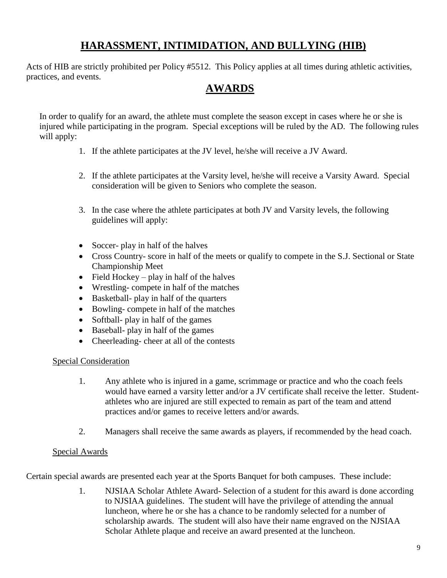# **HARASSMENT, INTIMIDATION, AND BULLYING (HIB)**

Acts of HIB are strictly prohibited per Policy #5512. This Policy applies at all times during athletic activities, practices, and events.

### **AWARDS**

In order to qualify for an award, the athlete must complete the season except in cases where he or she is injured while participating in the program. Special exceptions will be ruled by the AD. The following rules will apply:

- 1. If the athlete participates at the JV level, he/she will receive a JV Award.
- 2. If the athlete participates at the Varsity level, he/she will receive a Varsity Award. Special consideration will be given to Seniors who complete the season.
- 3. In the case where the athlete participates at both JV and Varsity levels, the following guidelines will apply:
- Soccer- play in half of the halves
- Cross Country- score in half of the meets or qualify to compete in the S.J. Sectional or State Championship Meet
- $\bullet$  Field Hockey play in half of the halves
- Wrestling- compete in half of the matches
- Basketball- play in half of the quarters
- Bowling- compete in half of the matches
- Softball- play in half of the games
- Baseball- play in half of the games
- Cheerleading-cheer at all of the contests

#### Special Consideration

- 1. Any athlete who is injured in a game, scrimmage or practice and who the coach feels would have earned a varsity letter and/or a JV certificate shall receive the letter. Studentathletes who are injured are still expected to remain as part of the team and attend practices and/or games to receive letters and/or awards.
- 2. Managers shall receive the same awards as players, if recommended by the head coach.

#### Special Awards

Certain special awards are presented each year at the Sports Banquet for both campuses. These include:

1. NJSIAA Scholar Athlete Award- Selection of a student for this award is done according to NJSIAA guidelines. The student will have the privilege of attending the annual luncheon, where he or she has a chance to be randomly selected for a number of scholarship awards. The student will also have their name engraved on the NJSIAA Scholar Athlete plaque and receive an award presented at the luncheon.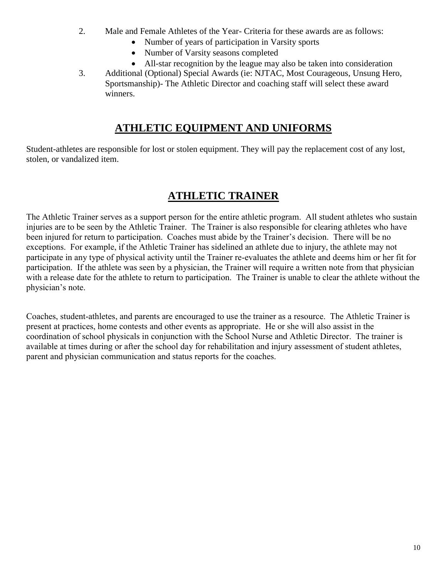- 2. Male and Female Athletes of the Year- Criteria for these awards are as follows:
	- Number of years of participation in Varsity sports
	- Number of Varsity seasons completed
	- All-star recognition by the league may also be taken into consideration
- 3. Additional (Optional) Special Awards (ie: NJTAC, Most Courageous, Unsung Hero, Sportsmanship)- The Athletic Director and coaching staff will select these award winners.

# **ATHLETIC EQUIPMENT AND UNIFORMS**

Student-athletes are responsible for lost or stolen equipment. They will pay the replacement cost of any lost, stolen, or vandalized item.

# **ATHLETIC TRAINER**

The Athletic Trainer serves as a support person for the entire athletic program. All student athletes who sustain injuries are to be seen by the Athletic Trainer. The Trainer is also responsible for clearing athletes who have been injured for return to participation. Coaches must abide by the Trainer's decision. There will be no exceptions. For example, if the Athletic Trainer has sidelined an athlete due to injury, the athlete may not participate in any type of physical activity until the Trainer re-evaluates the athlete and deems him or her fit for participation. If the athlete was seen by a physician, the Trainer will require a written note from that physician with a release date for the athlete to return to participation. The Trainer is unable to clear the athlete without the physician's note.

Coaches, student-athletes, and parents are encouraged to use the trainer as a resource. The Athletic Trainer is present at practices, home contests and other events as appropriate. He or she will also assist in the coordination of school physicals in conjunction with the School Nurse and Athletic Director. The trainer is available at times during or after the school day for rehabilitation and injury assessment of student athletes, parent and physician communication and status reports for the coaches.